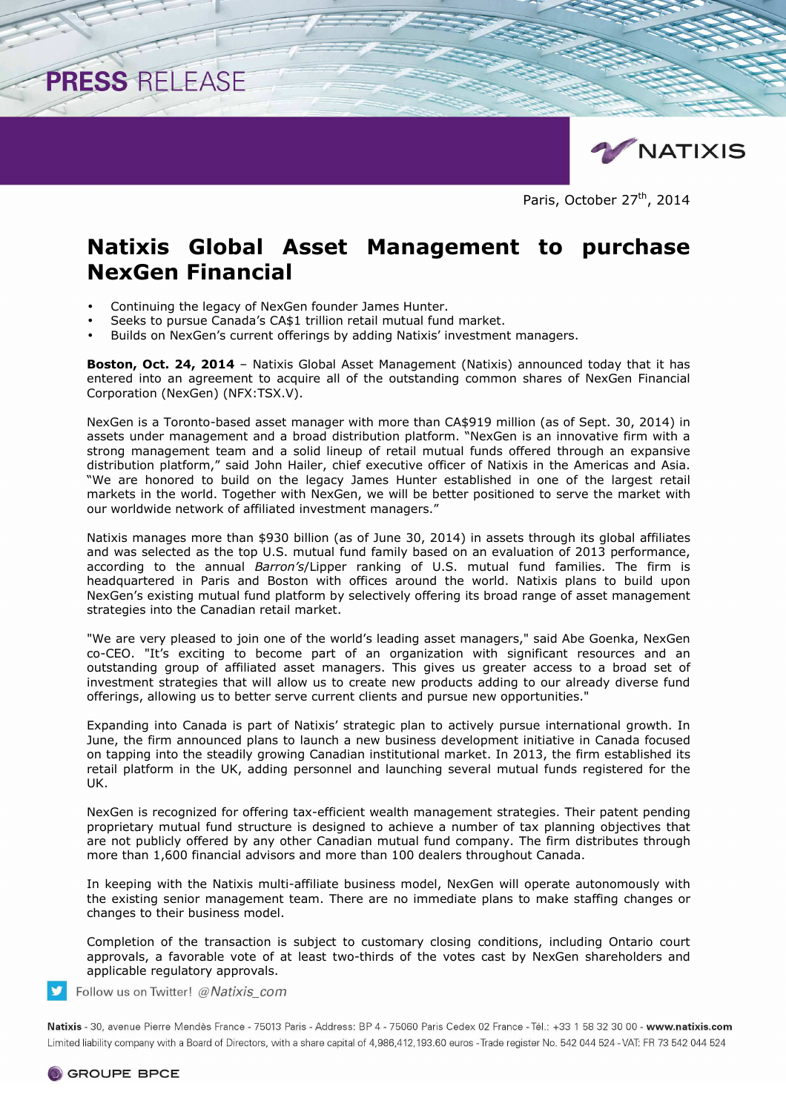

Paris, October 27<sup>th</sup>, 2014

# **Natixis Global Asset Management to purchase NexGen Financial**

• Continuing the legacy of NexGen founder James Hunter.

PRESS RELEASE

- Seeks to pursue Canada's CA\$1 trillion retail mutual fund market.
- Builds on NexGen's current offerings by adding Natixis' investment managers.

**Boston, Oct. 24, 2014** – Natixis Global Asset Management (Natixis) announced today that it has entered into an agreement to acquire all of the outstanding common shares of NexGen Financial Corporation (NexGen) (NFX:TSX.V).

NexGen is a Toronto-based asset manager with more than CA\$919 million (as of Sept. 30, 2014) in assets under management and a broad distribution platform. "NexGen is an innovative firm with a strong management team and a solid lineup of retail mutual funds offered through an expansive distribution platform," said John Hailer, chief executive officer of Natixis in the Americas and Asia. "We are honored to build on the legacy James Hunter established in one of the largest retail markets in the world. Together with NexGen, we will be better positioned to serve the market with our worldwide network of affiliated investment managers."

Natixis manages more than \$930 billion (as of June 30, 2014) in assets through its global affiliates and was selected as the top U.S. mutual fund family based on an evaluation of 2013 performance, according to the annual *Barron's*/Lipper ranking of U.S. mutual fund families. The firm is headquartered in Paris and Boston with offices around the world. Natixis plans to build upon NexGen's existing mutual fund platform by selectively offering its broad range of asset management strategies into the Canadian retail market.

"We are very pleased to join one of the world's leading asset managers," said Abe Goenka, NexGen co-CEO. "It's exciting to become part of an organization with significant resources and an outstanding group of affiliated asset managers. This gives us greater access to a broad set of investment strategies that will allow us to create new products adding to our already diverse fund offerings, allowing us to better serve current clients and pursue new opportunities."

Expanding into Canada is part of Natixis' strategic plan to actively pursue international growth. In June, the firm announced plans to launch a new business development initiative in Canada focused on tapping into the steadily growing Canadian institutional market. In 2013, the firm established its retail platform in the UK, adding personnel and launching several mutual funds registered for the UK.

NexGen is recognized for offering tax-efficient wealth management strategies. Their patent pending proprietary mutual fund structure is designed to achieve a number of tax planning objectives that are not publicly offered by any other Canadian mutual fund company. The firm distributes through more than 1,600 financial advisors and more than 100 dealers throughout Canada.

In keeping with the Natixis multi-affiliate business model, NexGen will operate autonomously with the existing senior management team. There are no immediate plans to make staffing changes or changes to their business model.

Completion of the transaction is subject to customary closing conditions, including Ontario court approvals, a favorable vote of at least two-thirds of the votes cast by NexGen shareholders and applicable regulatory approvals.

Follow us on Twitter! @Natixis com

Natixis - 30, avenue Pierre Mendès France - 75013 Paris - Address: BP 4 - 75060 Paris Cedex 02 France - Tél.: +33 1 58 32 30 00 - www.natixis.com Limited liability company with a Board of Directors, with a share capital of 4,986,412,193.60 euros - Trade register No. 542 044 524 - VAT: FR 73 542 044 524